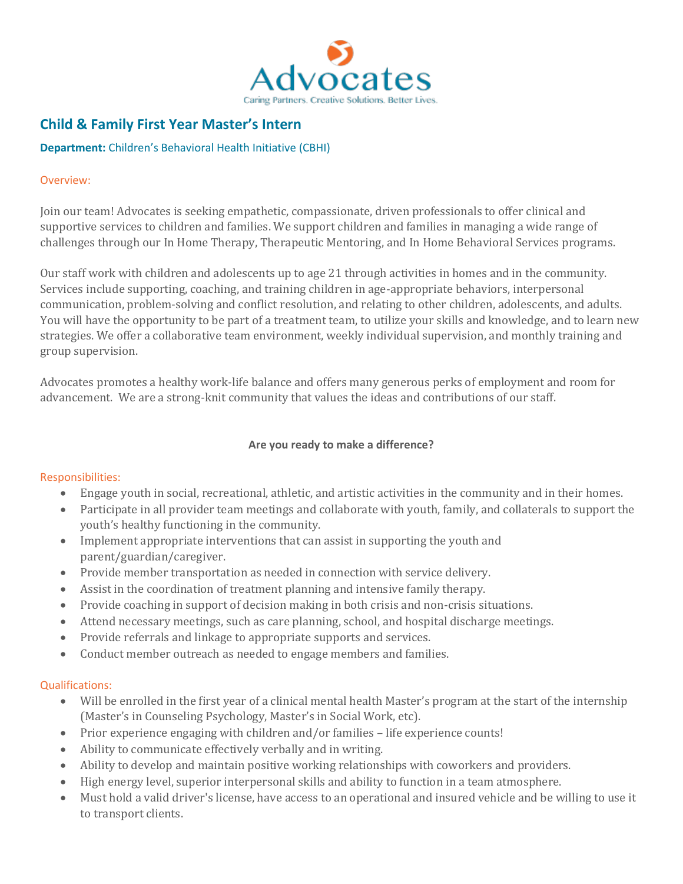

# **Child & Family First Year Master's Intern**

## **Department:** Children's Behavioral Health Initiative (CBHI)

### Overview:

Join our team! Advocates is seeking empathetic, compassionate, driven professionals to offer clinical and supportive services to children and families. We support children and families in managing a wide range of challenges through our In Home Therapy, Therapeutic Mentoring, and In Home Behavioral Services programs.

Our staff work with children and adolescents up to age 21 through activities in homes and in the community. Services include supporting, coaching, and training children in age-appropriate behaviors, interpersonal communication, problem-solving and conflict resolution, and relating to other children, adolescents, and adults. You will have the opportunity to be part of a treatment team, to utilize your skills and knowledge, and to learn new strategies. We offer a collaborative team environment, weekly individual supervision, and monthly training and group supervision.

Advocates promotes a healthy work-life balance and offers many generous perks of employment and room for advancement. We are a strong-knit community that values the ideas and contributions of our staff.

## **Are you ready to make a difference?**

#### Responsibilities:

- Engage youth in social, recreational, athletic, and artistic activities in the community and in their homes.
- Participate in all provider team meetings and collaborate with youth, family, and collaterals to support the youth's healthy functioning in the community.
- Implement appropriate interventions that can assist in supporting the youth and parent/guardian/caregiver.
- Provide member transportation as needed in connection with service delivery.
- Assist in the coordination of treatment planning and intensive family therapy.
- Provide coaching in support of decision making in both crisis and non-crisis situations.
- Attend necessary meetings, such as care planning, school, and hospital discharge meetings.
- Provide referrals and linkage to appropriate supports and services.
- Conduct member outreach as needed to engage members and families.

#### Qualifications:

- Will be enrolled in the first year of a clinical mental health Master's program at the start of the internship (Master's in Counseling Psychology, Master's in Social Work, etc).
- Prior experience engaging with children and/or families life experience counts!
- Ability to communicate effectively verbally and in writing.
- Ability to develop and maintain positive working relationships with coworkers and providers.
- High energy level, superior interpersonal skills and ability to function in a team atmosphere.
- Must hold a valid driver's license, have access to an operational and insured vehicle and be willing to use it to transport clients.